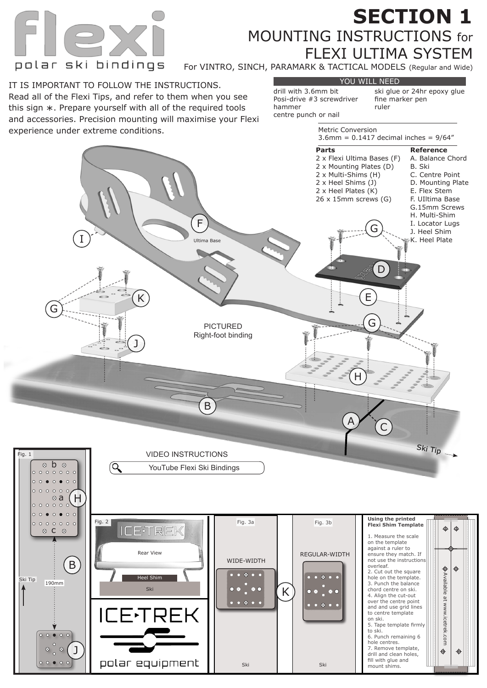